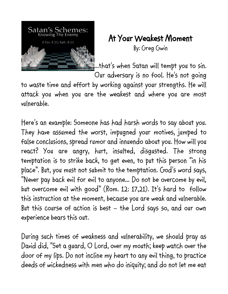

## At Your Weakest Moment

By: Greg Gwin

...that's when Satan will tempt you to sin.

Our adversary is no fool. He's not going

to waste time and effort by working against your strengths. He will attack you when you are the weakest and where you are most vulnerable.

Here's an example: Someone has had harsh words to say about you. They have assumed the worst, impugned your motives, jumped to false conclusions, spread rumor and innuendo about you. How will you react? You are angry, hurt, insulted, disgusted. The strong temptation is to strike back, to get even, to put this person "in his place". But, you must not submit to the temptation. God's word says, "Never pay back evil for evil to anyone... Do not be overcome by evil, but overcome evil with good" (Rom. 12: 17,21). It's hard to follow this instruction at the moment, because you are weak and vulnerable. But this course of action is best – the Lord says so, and our own experience bears this out.

During such times of weakness and vulnerability, we should pray as David did, "Set a guard, O Lord, over my mouth; keep watch over the door of my lips. Do not incline my heart to any evil thing, to practice deeds of wickedness with men who do iniquity; and do not let me eat